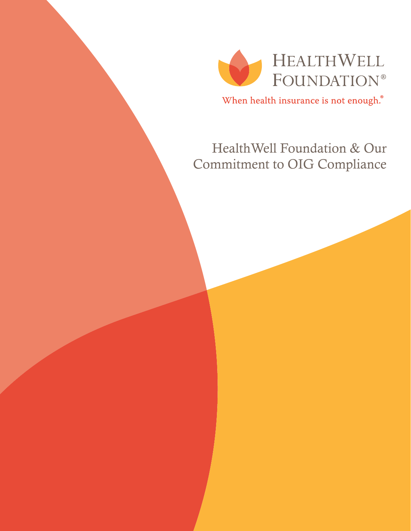

When health insurance is not enough.<sup>®</sup>

# HealthWell Foundation & Our Commitment to OIG Compliance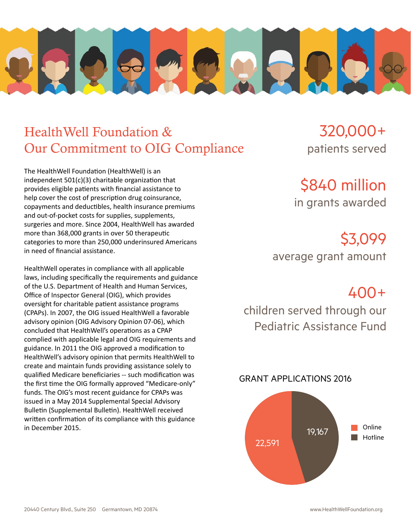

## HealthWell Foundation & Our Commitment to OIG Compliance

The HealthWell Foundation (HealthWell) is an independent 501(c)(3) charitable organization that provides eligible patients with financial assistance to help cover the cost of prescription drug coinsurance, copayments and deductibles, health insurance premiums and out-of-pocket costs for supplies, supplements, surgeries and more. Since 2004, HealthWell has awarded more than 368,000 grants in over 50 therapeutic categories to more than 250,000 underinsured Americans in need of financial assistance.

HealthWell operates in compliance with all applicable laws, including specifically the requirements and guidance of the U.S. Department of Health and Human Services, Office of Inspector General (OIG), which provides oversight for charitable patient assistance programs (CPAPs). In 2007, the OIG issued HealthWell a favorable advisory opinion (OIG Advisory Opinion 07-06), which concluded that HealthWell's operations as a CPAP complied with applicable legal and OIG requirements and guidance. In 2011 the OIG approved a modification to HealthWell's advisory opinion that permits HealthWell to create and maintain funds providing assistance solely to qualified Medicare beneficiaries -- such modification was the first time the OIG formally approved "Medicare-only" funds. The OIG's most recent guidance for CPAPs was issued in a May 2014 Supplemental Special Advisory Bulletin (Supplemental Bulletin). HealthWell received written confirmation of its compliance with this guidance in December 2015.

320,000+ patients served

\$840 million in grants awarded

\$3,099

average grant amount

400+

children served through our Pediatric Assistance Fund

### GRANT APPLICATIONS 2016

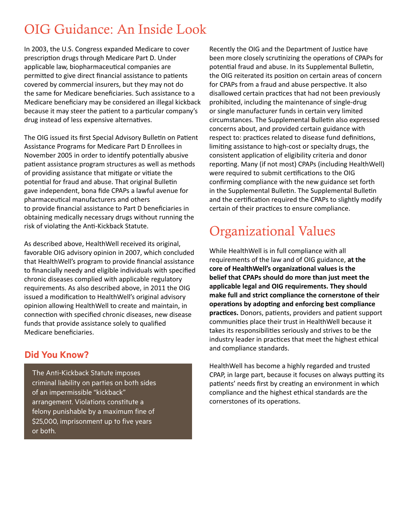## OIG Guidance: An Inside Look

In 2003, the U.S. Congress expanded Medicare to cover prescription drugs through Medicare Part D. Under applicable law, biopharmaceutical companies are permitted to give direct financial assistance to patients covered by commercial insurers, but they may not do the same for Medicare beneficiaries. Such assistance to a Medicare beneficiary may be considered an illegal kickback because it may steer the patient to a particular company's drug instead of less expensive alternatives.

The OIG issued its first Special Advisory Bulletin on Patient Assistance Programs for Medicare Part D Enrollees in November 2005 in order to identify potentially abusive patient assistance program structures as well as methods of providing assistance that mitigate or vitiate the potential for fraud and abuse. That original Bulletin gave independent, bona fide CPAPs a lawful avenue for pharmaceutical manufacturers and others to provide financial assistance to Part D beneficiaries in obtaining medically necessary drugs without running the risk of violating the Anti-Kickback Statute.

As described above, HealthWell received its original, favorable OIG advisory opinion in 2007, which concluded that HealthWell's program to provide financial assistance to financially needy and eligible individuals with specified chronic diseases complied with applicable regulatory requirements. As also described above, in 2011 the OIG issued a modification to HealthWell's original advisory opinion allowing HealthWell to create and maintain, in connection with specified chronic diseases, new disease funds that provide assistance solely to qualified Medicare beneficiaries.

### **Did You Know?**

The Anti-Kickback Statute imposes criminal liability on parties on both sides of an impermissible "kickback" arrangement. Violations constitute a felony punishable by a maximum fine of \$25,000, imprisonment up to five years or both.

Recently the OIG and the Department of Justice have been more closely scrutinizing the operations of CPAPs for potential fraud and abuse. In its Supplemental Bulletin, the OIG reiterated its position on certain areas of concern for CPAPs from a fraud and abuse perspective. It also disallowed certain practices that had not been previously prohibited, including the maintenance of single-drug or single manufacturer funds in certain very limited circumstances. The Supplemental Bulletin also expressed concerns about, and provided certain guidance with respect to: practices related to disease fund definitions, limiting assistance to high-cost or specialty drugs, the consistent application of eligibility criteria and donor reporting. Many (if not most) CPAPs (including HealthWell) were required to submit certifications to the OIG confirming compliance with the new guidance set forth in the Supplemental Bulletin. The Supplemental Bulletin and the certification required the CPAPs to slightly modify certain of their practices to ensure compliance.

## Organizational Values

While HealthWell is in full compliance with all requirements of the law and of OIG guidance, **at the core of HealthWell's organizational values is the belief that CPAPs should do more than just meet the applicable legal and OIG requirements. They should make full and strict compliance the cornerstone of their operations by adopting and enforcing best compliance practices.** Donors, patients, providers and patient support communities place their trust in HealthWell because it takes its responsibilities seriously and strives to be the industry leader in practices that meet the highest ethical and compliance standards.

HealthWell has become a highly regarded and trusted CPAP, in large part, because it focuses on always putting its patients' needs first by creating an environment in which compliance and the highest ethical standards are the cornerstones of its operations.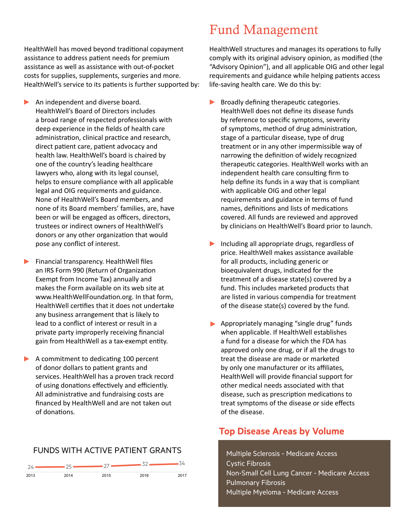HealthWell has moved beyond traditional copayment assistance to address patient needs for premium assistance as well as assistance with out-of-pocket costs for supplies, supplements, surgeries and more. HealthWell's service to its patients is further supported by:

- $\blacktriangleright$  An independent and diverse board. HealthWell's Board of Directors includes a broad range of respected professionals with deep experience in the fields of health care administration, clinical practice and research, direct patient care, patient advocacy and health law. HealthWell's board is chaired by one of the country's leading healthcare lawyers who, along with its legal counsel, helps to ensure compliance with all applicable legal and OIG requirements and guidance. None of HealthWell's Board members, and none of its Board members' families, are, have been or will be engaged as officers, directors, trustees or indirect owners of HealthWell's donors or any other organization that would pose any conflict of interest.
- $\blacktriangleright$  Financial transparency. HealthWell files an IRS Form 990 (Return of Organization Exempt from Income Tax) annually and makes the Form available on its web site at www.HealthWellFoundation.org. In that form, HealthWell certifies that it does not undertake any business arrangement that is likely to lead to a conflict of interest or result in a private party improperly receiving financial gain from HealthWell as a tax-exempt entity.
- A commitment to dedicating 100 percent of donor dollars to patient grants and services. HealthWell has a proven track record of using donations effectively and efficiently. All administrative and fundraising costs are financed by HealthWell and are not taken out of donations.

### FUNDS WITH ACTIVE PATIENT GRANTS



### Fund Management

HealthWell structures and manages its operations to fully comply with its original advisory opinion, as modified (the "Advisory Opinion"), and all applicable OIG and other legal requirements and guidance while helping patients access life-saving health care. We do this by:

- $\blacktriangleright$  Broadly defining therapeutic categories. HealthWell does not define its disease funds by reference to specific symptoms, severity of symptoms, method of drug administration, stage of a particular disease, type of drug treatment or in any other impermissible way of narrowing the definition of widely recognized therapeutic categories. HealthWell works with an independent health care consulting firm to help define its funds in a way that is compliant with applicable OIG and other legal requirements and guidance in terms of fund names, definitions and lists of medications covered. All funds are reviewed and approved by clinicians on HealthWell's Board prior to launch.
- $\blacktriangleright$  Including all appropriate drugs, regardless of price. HealthWell makes assistance available for all products, including generic or bioequivalent drugs, indicated for the treatment of a disease state(s) covered by a fund. This includes marketed products that are listed in various compendia for treatment of the disease state(s) covered by the fund.
- $\blacktriangleright$  Appropriately managing "single drug" funds when applicable. If HealthWell establishes a fund for a disease for which the FDA has approved only one drug, or if all the drugs to treat the disease are made or marketed by only one manufacturer or its affiliates, HealthWell will provide financial support for other medical needs associated with that disease, such as prescription medications to treat symptoms of the disease or side effects of the disease.

#### **Top Disease Areas by Volume** guidelines. Health Well bases fund bases fund bases fund bases fund bases fund bases fund bases fund bases fund

multiple Scierosis - Medicare Access grant recipients must receive treatments in the Cystic Fibrosis Non-Small Cell Lung Cancer - Medicare Access fund. To be eligible for assistance, patients must be eligible for a second must be eligible for a second must Multiple Myeloma - Medicare Access